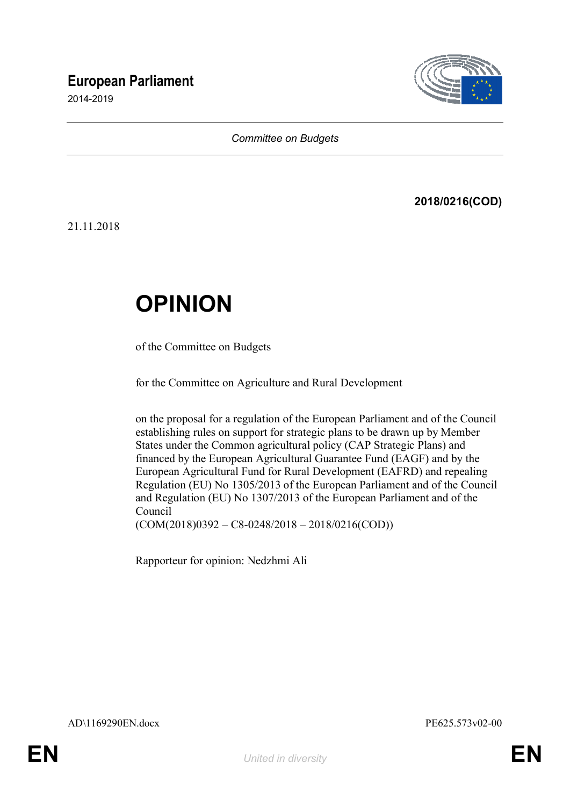# **European Parliament**

2014-2019



### *Committee on Budgets*

# **2018/0216(COD)**

21.11.2018

# **OPINION**

of the Committee on Budgets

for the Committee on Agriculture and Rural Development

on the proposal for a regulation of the European Parliament and of the Council establishing rules on support for strategic plans to be drawn up by Member States under the Common agricultural policy (CAP Strategic Plans) and financed by the European Agricultural Guarantee Fund (EAGF) and by the European Agricultural Fund for Rural Development (EAFRD) and repealing Regulation (EU) No 1305/2013 of the European Parliament and of the Council and Regulation (EU) No 1307/2013 of the European Parliament and of the Council  $(COM(2018)0392 - C8 - 0248/2018 - 2018/0216(COD))$ 

Rapporteur for opinion: Nedzhmi Ali

AD\1169290EN.docx PE625.573v02-00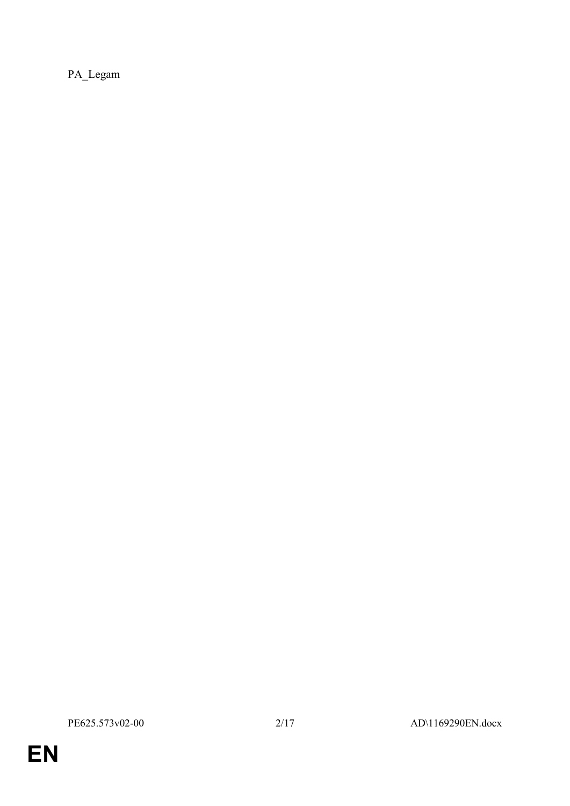PA\_Legam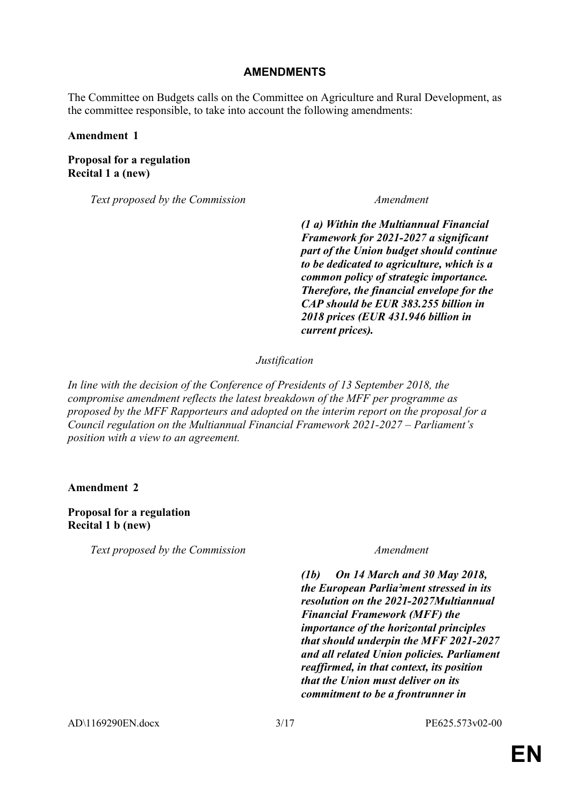### **AMENDMENTS**

The Committee on Budgets calls on the Committee on Agriculture and Rural Development, as the committee responsible, to take into account the following amendments:

### **Amendment 1**

### **Proposal for a regulation Recital 1 a (new)**

*Text proposed by the Commission Amendment*

*(1 a) Within the Multiannual Financial Framework for 2021-2027 a significant part of the Union budget should continue to be dedicated to agriculture, which is a common policy of strategic importance. Therefore, the financial envelope for the CAP should be EUR 383.255 billion in 2018 prices (EUR 431.946 billion in current prices).*

### *Justification*

*In line with the decision of the Conference of Presidents of 13 September 2018, the compromise amendment reflects the latest breakdown of the MFF per programme as proposed by the MFF Rapporteurs and adopted on the interim report on the proposal for a Council regulation on the Multiannual Financial Framework 2021-2027 – Parliament's position with a view to an agreement.*

**Amendment 2**

### **Proposal for a regulation Recital 1 b (new)**

*Text proposed by the Commission Amendment*

*(1b) On 14 March and 30 May 2018, the European Parlia²ment stressed in its resolution on the 2021-2027Multiannual Financial Framework (MFF) the importance of the horizontal principles that should underpin the MFF 2021-2027 and all related Union policies. Parliament reaffirmed, in that context, its position that the Union must deliver on its commitment to be a frontrunner in* 

AD\1169290EN.docx 3/17 PE625.573v02-00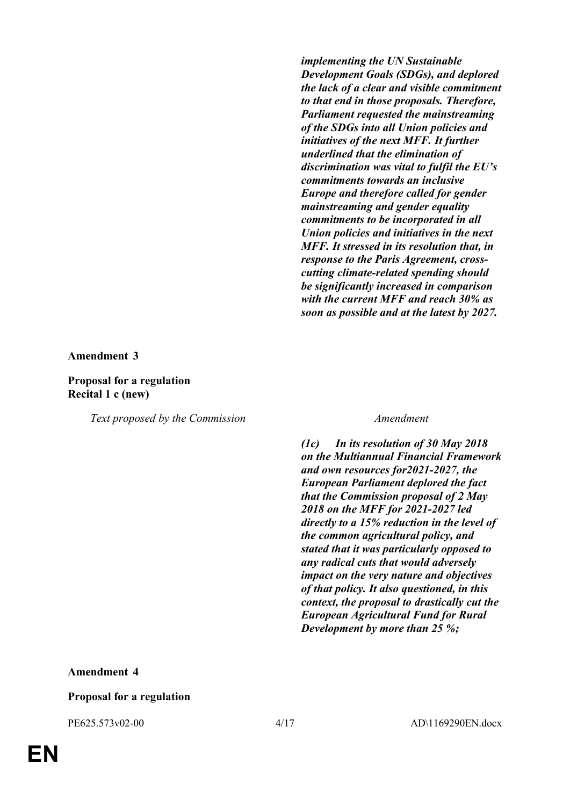*implementing the UN Sustainable Development Goals (SDGs), and deplored the lack of a clear and visible commitment to that end in those proposals. Therefore, Parliament requested the mainstreaming of the SDGs into all Union policies and initiatives of the next MFF. It further underlined that the elimination of discrimination was vital to fulfil the EU's commitments towards an inclusive Europe and therefore called for gender mainstreaming and gender equality commitments to be incorporated in all Union policies and initiatives in the next MFF. It stressed in its resolution that, in response to the Paris Agreement, crosscutting climate-related spending should be significantly increased in comparison with the current MFF and reach 30% as soon as possible and at the latest by 2027.*

**Amendment 3**

### **Proposal for a regulation Recital 1 c (new)**

*Text proposed by the Commission Amendment*

*(1c) In its resolution of 30 May 2018 on the Multiannual Financial Framework and own resources for2021-2027, the European Parliament deplored the fact that the Commission proposal of 2 May 2018 on the MFF for 2021-2027 led directly to a 15% reduction in the level of the common agricultural policy, and stated that it was particularly opposed to any radical cuts that would adversely impact on the very nature and objectives of that policy. It also questioned, in this context, the proposal to drastically cut the European Agricultural Fund for Rural Development by more than 25 %;*

### **Amendment 4**

### **Proposal for a regulation**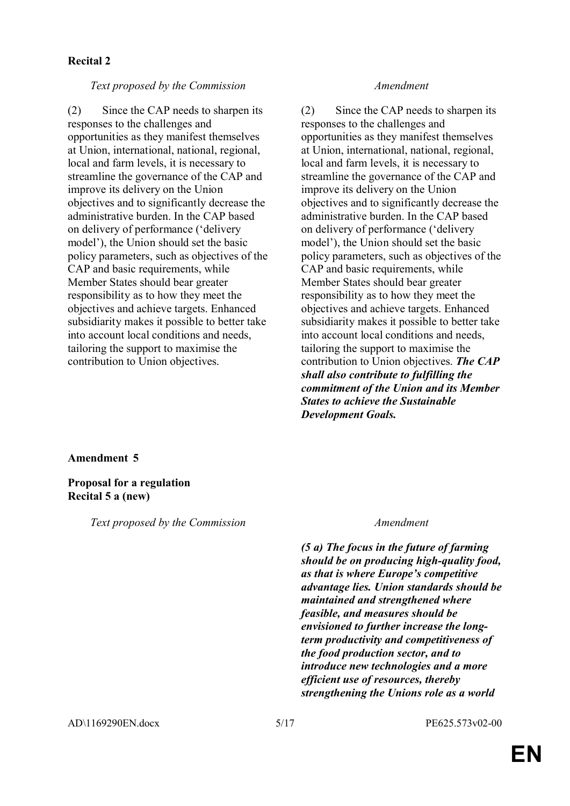### **Recital 2**

### *Text proposed by the Commission Amendment*

(2) Since the CAP needs to sharpen its responses to the challenges and opportunities as they manifest themselves at Union, international, national, regional, local and farm levels, it is necessary to streamline the governance of the CAP and improve its delivery on the Union objectives and to significantly decrease the administrative burden. In the CAP based on delivery of performance ('delivery model'), the Union should set the basic policy parameters, such as objectives of the CAP and basic requirements, while Member States should bear greater responsibility as to how they meet the objectives and achieve targets. Enhanced subsidiarity makes it possible to better take into account local conditions and needs, tailoring the support to maximise the contribution to Union objectives.

(2) Since the CAP needs to sharpen its responses to the challenges and opportunities as they manifest themselves at Union, international, national, regional, local and farm levels, it is necessary to streamline the governance of the CAP and improve its delivery on the Union objectives and to significantly decrease the administrative burden. In the CAP based on delivery of performance ('delivery model'), the Union should set the basic policy parameters, such as objectives of the CAP and basic requirements, while Member States should bear greater responsibility as to how they meet the objectives and achieve targets. Enhanced subsidiarity makes it possible to better take into account local conditions and needs, tailoring the support to maximise the contribution to Union objectives. *The CAP shall also contribute to fulfilling the commitment of the Union and its Member States to achieve the Sustainable Development Goals.*

### **Amendment 5**

### **Proposal for a regulation Recital 5 a (new)**

*Text proposed by the Commission Amendment*

*(5 a) The focus in the future of farming should be on producing high-quality food, as that is where Europe's competitive advantage lies. Union standards should be maintained and strengthened where feasible, and measures should be envisioned to further increase the longterm productivity and competitiveness of the food production sector, and to introduce new technologies and a more efficient use of resources, thereby strengthening the Unions role as a world*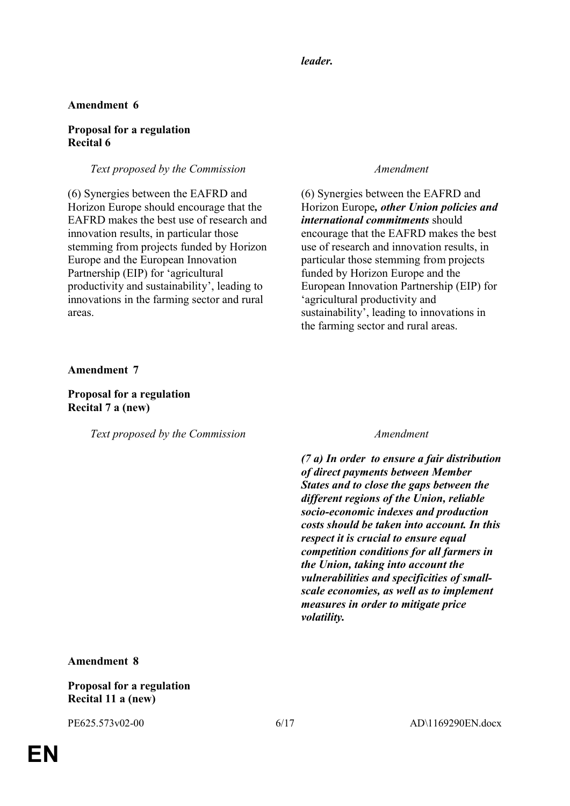### *leader.*

### **Amendment 6**

### **Proposal for a regulation Recital 6**

### *Text proposed by the Commission Amendment*

(6) Synergies between the EAFRD and Horizon Europe should encourage that the EAFRD makes the best use of research and innovation results, in particular those stemming from projects funded by Horizon Europe and the European Innovation Partnership (EIP) for 'agricultural productivity and sustainability', leading to innovations in the farming sector and rural areas.

(6) Synergies between the EAFRD and Horizon Europe*, other Union policies and international commitments* should encourage that the EAFRD makes the best use of research and innovation results, in particular those stemming from projects funded by Horizon Europe and the European Innovation Partnership (EIP) for 'agricultural productivity and sustainability', leading to innovations in the farming sector and rural areas.

**Amendment 7**

### **Proposal for a regulation Recital 7 a (new)**

*Text proposed by the Commission Amendment*

*(7 a) In order to ensure a fair distribution of direct payments between Member States and to close the gaps between the different regions of the Union, reliable socio-economic indexes and production costs should be taken into account. In this respect it is crucial to ensure equal competition conditions for all farmers in the Union, taking into account the vulnerabilities and specificities of smallscale economies, as well as to implement measures in order to mitigate price volatility.*

**Amendment 8**

**Proposal for a regulation Recital 11 a (new)**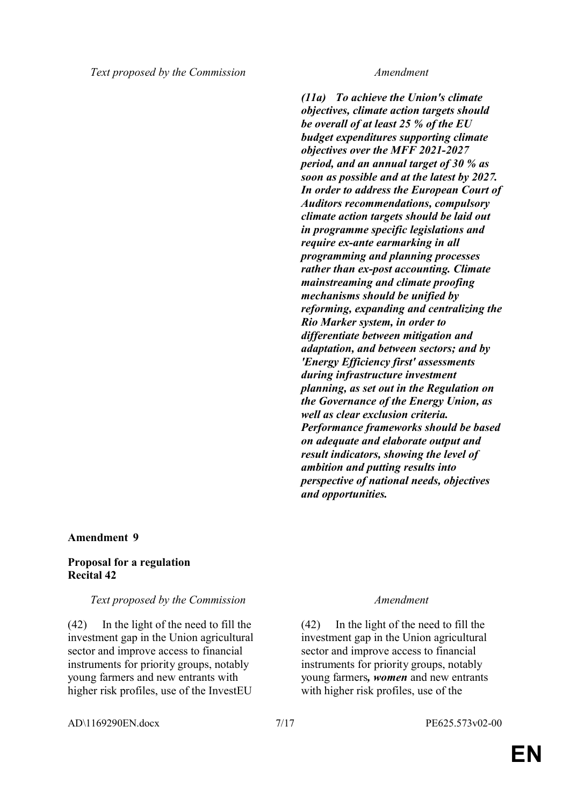*(11a) To achieve the Union's climate objectives, climate action targets should be overall of at least 25 % of the EU budget expenditures supporting climate objectives over the MFF 2021-2027 period, and an annual target of 30 % as soon as possible and at the latest by 2027. In order to address the European Court of Auditors recommendations, compulsory climate action targets should be laid out in programme specific legislations and require ex-ante earmarking in all programming and planning processes rather than ex-post accounting. Climate mainstreaming and climate proofing mechanisms should be unified by reforming, expanding and centralizing the Rio Marker system, in order to differentiate between mitigation and adaptation, and between sectors; and by 'Energy Efficiency first' assessments during infrastructure investment planning, as set out in the Regulation on the Governance of the Energy Union, as well as clear exclusion criteria. Performance frameworks should be based on adequate and elaborate output and result indicators, showing the level of ambition and putting results into perspective of national needs, objectives and opportunities.*

### **Amendment 9**

### **Proposal for a regulation Recital 42**

### *Text proposed by the Commission Amendment*

(42) In the light of the need to fill the investment gap in the Union agricultural sector and improve access to financial instruments for priority groups, notably young farmers and new entrants with higher risk profiles, use of the InvestEU

(42) In the light of the need to fill the investment gap in the Union agricultural sector and improve access to financial instruments for priority groups, notably young farmers*, women* and new entrants with higher risk profiles, use of the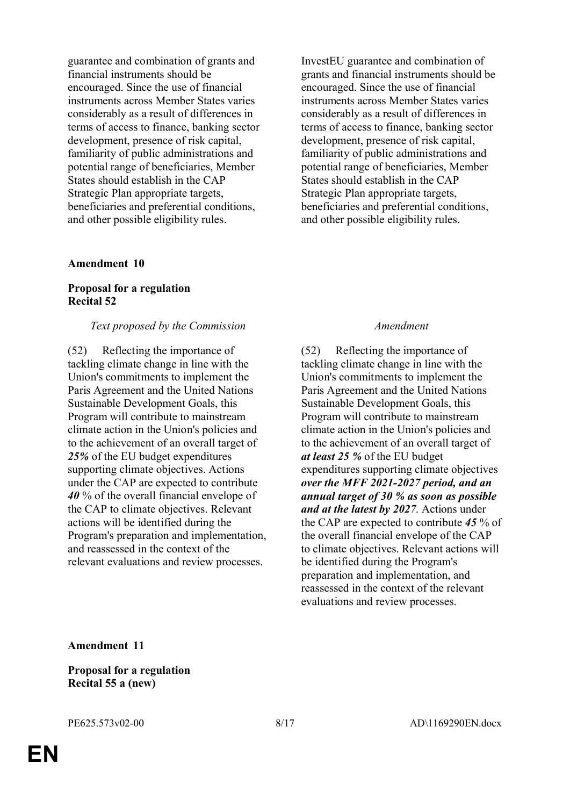guarantee and combination of grants and financial instruments should be encouraged. Since the use of financial instruments across Member States varies considerably as a result of differences in terms of access to finance, banking sector development, presence of risk capital, familiarity of public administrations and potential range of beneficiaries, Member States should establish in the CAP Strategic Plan appropriate targets, beneficiaries and preferential conditions, and other possible eligibility rules.

### **Amendment 10**

### **Proposal for a regulation Recital 52**

### *Text proposed by the Commission Amendment*

(52) Reflecting the importance of tackling climate change in line with the Union's commitments to implement the Paris Agreement and the United Nations Sustainable Development Goals, this Program will contribute to mainstream climate action in the Union's policies and to the achievement of an overall target of *25%* of the EU budget expenditures supporting climate objectives. Actions under the CAP are expected to contribute *40* % of the overall financial envelope of the CAP to climate objectives. Relevant actions will be identified during the Program's preparation and implementation, and reassessed in the context of the relevant evaluations and review processes.

InvestEU guarantee and combination of grants and financial instruments should be encouraged. Since the use of financial instruments across Member States varies considerably as a result of differences in terms of access to finance, banking sector development, presence of risk capital, familiarity of public administrations and potential range of beneficiaries, Member States should establish in the CAP Strategic Plan appropriate targets, beneficiaries and preferential conditions, and other possible eligibility rules.

(52) Reflecting the importance of tackling climate change in line with the Union's commitments to implement the Paris Agreement and the United Nations Sustainable Development Goals, this Program will contribute to mainstream climate action in the Union's policies and to the achievement of an overall target of *at least 25 %* of the EU budget expenditures supporting climate objectives *over the MFF 2021-2027 period, and an annual target of 30 % as soon as possible and at the latest by 2027*. Actions under the CAP are expected to contribute *45* % of the overall financial envelope of the CAP to climate objectives. Relevant actions will be identified during the Program's preparation and implementation, and reassessed in the context of the relevant evaluations and review processes.

**Amendment 11**

**Proposal for a regulation Recital 55 a (new)**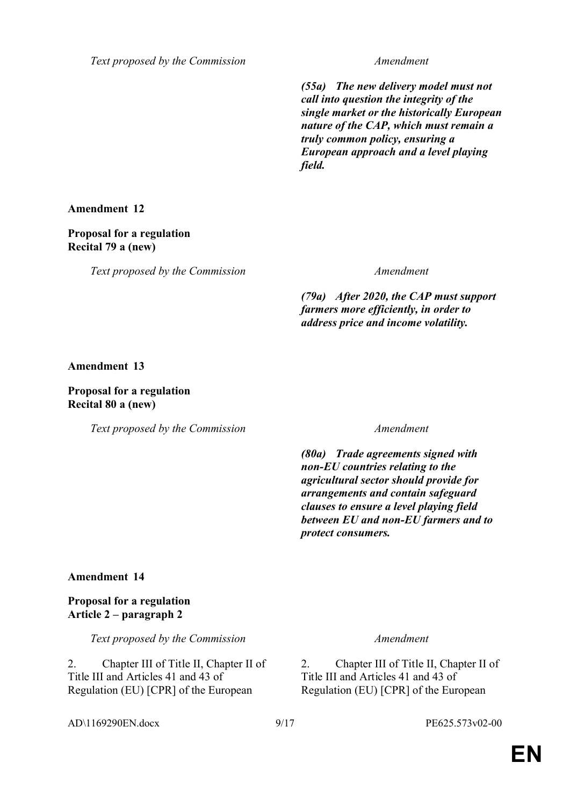*Text proposed by the Commission Amendment*

*(55a) The new delivery model must not call into question the integrity of the single market or the historically European nature of the CAP, which must remain a truly common policy, ensuring a European approach and a level playing field.*

**Amendment 12**

### **Proposal for a regulation Recital 79 a (new)**

*Text proposed by the Commission Amendment*

*(79a) After 2020, the CAP must support farmers more efficiently, in order to address price and income volatility.*

**Amendment 13**

### **Proposal for a regulation Recital 80 a (new)**

*Text proposed by the Commission Amendment*

*(80a) Trade agreements signed with non-EU countries relating to the agricultural sector should provide for arrangements and contain safeguard clauses to ensure a level playing field between EU and non-EU farmers and to protect consumers.*

### **Amendment 14**

### **Proposal for a regulation Article 2 – paragraph 2**

*Text proposed by the Commission Amendment*

2. Chapter III of Title II, Chapter II of Title III and Articles 41 and 43 of Regulation (EU) [CPR] of the European

2. Chapter III of Title II, Chapter II of Title III and Articles 41 and 43 of Regulation (EU) [CPR] of the European

AD\1169290EN.docx 9/17 PE625.573v02-00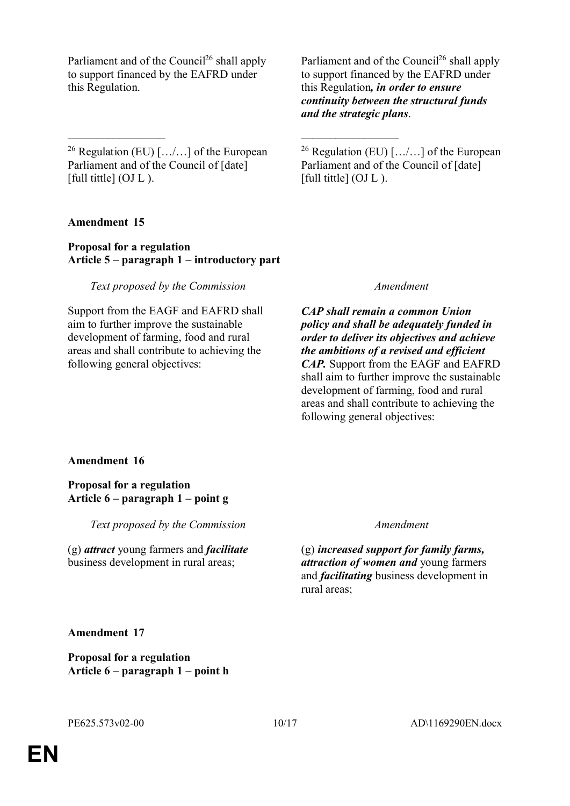Parliament and of the Council<sup>26</sup> shall apply to support financed by the EAFRD under this Regulation.

<sup>26</sup> Regulation (EU)  $[\ldots]$  of the European Parliament and of the Council of [date] [full tittle]  $(OJ L)$ .

\_\_\_\_\_\_\_\_\_\_\_\_\_\_\_\_\_ \_\_\_\_\_\_\_\_\_\_\_\_\_\_\_\_\_

**Amendment 15**

### **Proposal for a regulation Article 5 – paragraph 1 – introductory part**

### *Text proposed by the Commission Amendment*

Support from the EAGF and EAFRD shall aim to further improve the sustainable development of farming, food and rural areas and shall contribute to achieving the following general objectives:

Parliament and of the Council<sup>26</sup> shall apply to support financed by the EAFRD under this Regulation*, in order to ensure continuity between the structural funds and the strategic plans*.

<sup>26</sup> Regulation (EU)  $[\ldots]$  of the European Parliament and of the Council of [date] [full tittle] (OJ L).

*CAP shall remain a common Union policy and shall be adequately funded in order to deliver its objectives and achieve the ambitions of a revised and efficient CAP.* Support from the EAGF and EAFRD shall aim to further improve the sustainable development of farming, food and rural areas and shall contribute to achieving the following general objectives:

### **Amendment 16**

### **Proposal for a regulation Article 6 – paragraph 1 – point g**

*Text proposed by the Commission Amendment*

(g) *attract* young farmers and *facilitate* business development in rural areas;

(g) *increased support for family farms, attraction of women and* young farmers and *facilitating* business development in rural areas;

**Amendment 17**

**Proposal for a regulation Article 6 – paragraph 1 – point h**

**EN**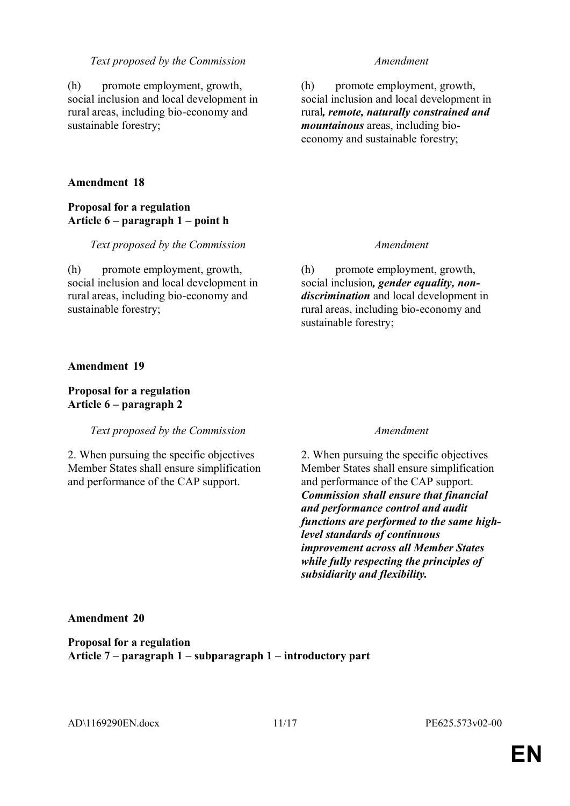### *Text proposed by the Commission Amendment*

(h) promote employment, growth, social inclusion and local development in rural areas, including bio-economy and sustainable forestry;

### **Amendment 18**

### **Proposal for a regulation Article 6 – paragraph 1 – point h**

*Text proposed by the Commission Amendment*

(h) promote employment, growth, social inclusion and local development in rural areas, including bio-economy and sustainable forestry;

(h) promote employment, growth, social inclusion and local development in rural*, remote, naturally constrained and mountainous* areas, including bioeconomy and sustainable forestry;

(h) promote employment, growth, social inclusion*, gender equality, nondiscrimination* and local development in rural areas, including bio-economy and sustainable forestry;

### **Amendment 19**

### **Proposal for a regulation Article 6 – paragraph 2**

### *Text proposed by the Commission Amendment*

2. When pursuing the specific objectives Member States shall ensure simplification and performance of the CAP support.

2. When pursuing the specific objectives Member States shall ensure simplification and performance of the CAP support. *Commission shall ensure that financial and performance control and audit functions are performed to the same highlevel standards of continuous improvement across all Member States while fully respecting the principles of subsidiarity and flexibility.*

### **Amendment 20**

**Proposal for a regulation Article 7 – paragraph 1 – subparagraph 1 – introductory part**

AD\1169290EN.docx 11/17 PE625.573v02-00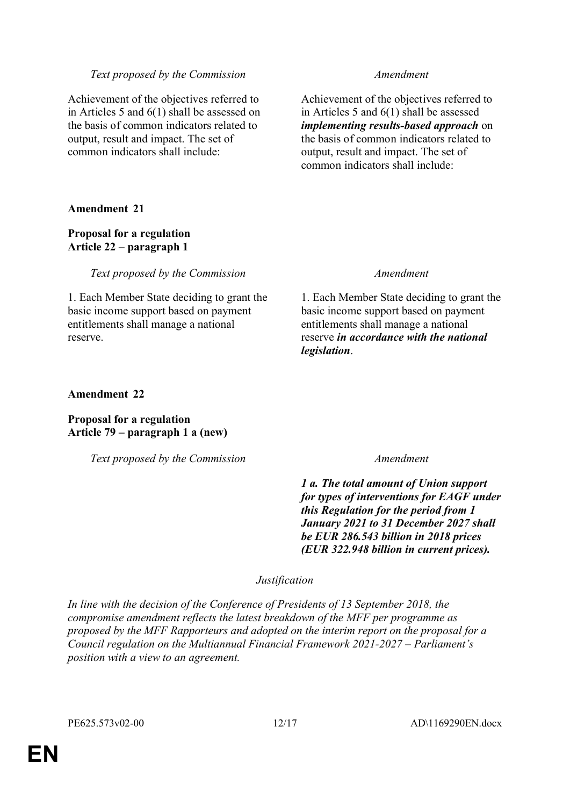### *Text proposed by the Commission Amendment*

Achievement of the objectives referred to in Articles 5 and 6(1) shall be assessed on the basis of common indicators related to output, result and impact. The set of common indicators shall include:

Achievement of the objectives referred to in Articles 5 and 6(1) shall be assessed *implementing results-based approach* on the basis of common indicators related to output, result and impact. The set of common indicators shall include:

### **Amendment 21**

### **Proposal for a regulation Article 22 – paragraph 1**

*Text proposed by the Commission Amendment*

1. Each Member State deciding to grant the basic income support based on payment entitlements shall manage a national reserve.

1. Each Member State deciding to grant the basic income support based on payment entitlements shall manage a national reserve *in accordance with the national legislation*.

### **Amendment 22**

**Proposal for a regulation Article 79 – paragraph 1 a (new)**

*Text proposed by the Commission Amendment*

*1 a. The total amount of Union support for types of interventions for EAGF under this Regulation for the period from 1 January 2021 to 31 December 2027 shall be EUR 286.543 billion in 2018 prices (EUR 322.948 billion in current prices).*

### *Justification*

*In line with the decision of the Conference of Presidents of 13 September 2018, the compromise amendment reflects the latest breakdown of the MFF per programme as proposed by the MFF Rapporteurs and adopted on the interim report on the proposal for a Council regulation on the Multiannual Financial Framework 2021-2027 – Parliament's position with a view to an agreement.*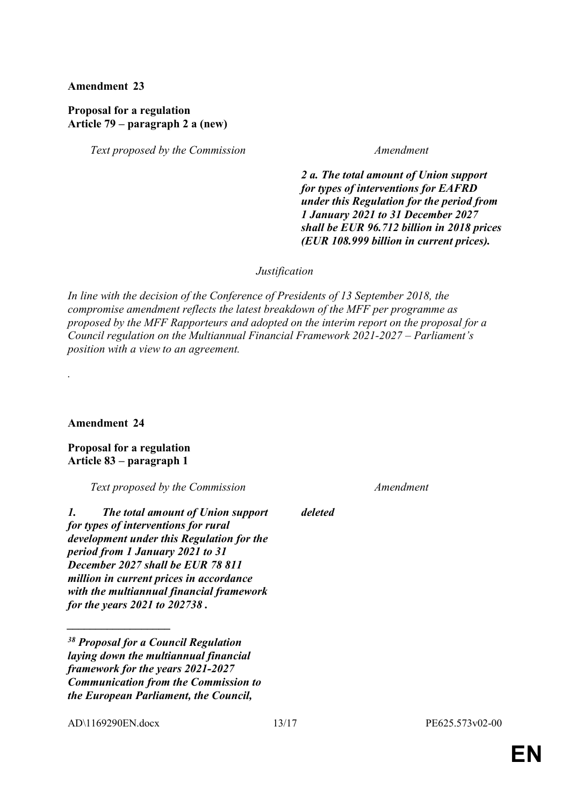**Amendment 23**

### **Proposal for a regulation Article 79 – paragraph 2 a (new)**

*Text proposed by the Commission Amendment*

*2 a. The total amount of Union support for types of interventions for EAFRD under this Regulation for the period from 1 January 2021 to 31 December 2027 shall be EUR 96.712 billion in 2018 prices (EUR 108.999 billion in current prices).*

*Justification*

*In line with the decision of the Conference of Presidents of 13 September 2018, the compromise amendment reflects the latest breakdown of the MFF per programme as proposed by the MFF Rapporteurs and adopted on the interim report on the proposal for a Council regulation on the Multiannual Financial Framework 2021-2027 – Parliament's position with a view to an agreement.*

**Amendment 24**

*.*

**Proposal for a regulation Article 83 – paragraph 1**

*Text proposed by the Commission Amendment*

*1. The total amount of Union support for types of interventions for rural development under this Regulation for the period from 1 January 2021 to 31 December 2027 shall be EUR 78 811 million in current prices in accordance with the multiannual financial framework for the years 2021 to 202738 .*

AD\1169290EN.docx 13/17 PE625.573v02-00

*\_\_\_\_\_\_\_\_\_\_\_\_\_\_\_\_\_\_*

*deleted*

*<sup>38</sup> Proposal for a Council Regulation laying down the multiannual financial framework for the years 2021-2027 Communication from the Commission to the European Parliament, the Council,*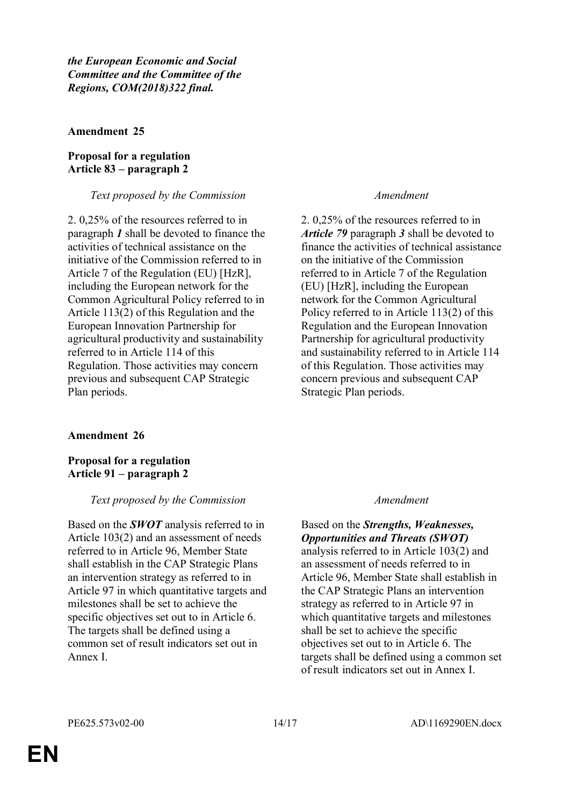*the European Economic and Social Committee and the Committee of the Regions, COM(2018)322 final.*

### **Amendment 25**

### **Proposal for a regulation Article 83 – paragraph 2**

### *Text proposed by the Commission Amendment*

2. 0,25% of the resources referred to in paragraph *1* shall be devoted to finance the activities of technical assistance on the initiative of the Commission referred to in Article 7 of the Regulation (EU) [HzR], including the European network for the Common Agricultural Policy referred to in Article 113(2) of this Regulation and the European Innovation Partnership for agricultural productivity and sustainability referred to in Article 114 of this Regulation. Those activities may concern previous and subsequent CAP Strategic Plan periods.

### **Amendment 26**

**Proposal for a regulation Article 91 – paragraph 2**

### *Text proposed by the Commission Amendment*

Based on the *SWOT* analysis referred to in Article 103(2) and an assessment of needs referred to in Article 96, Member State shall establish in the CAP Strategic Plans an intervention strategy as referred to in Article 97 in which quantitative targets and milestones shall be set to achieve the specific objectives set out to in Article 6. The targets shall be defined using a common set of result indicators set out in Annex I.

2. 0,25% of the resources referred to in *Article 79* paragraph *3* shall be devoted to finance the activities of technical assistance on the initiative of the Commission referred to in Article 7 of the Regulation (EU) [HzR], including the European network for the Common Agricultural Policy referred to in Article 113(2) of this Regulation and the European Innovation Partnership for agricultural productivity and sustainability referred to in Article 114 of this Regulation. Those activities may concern previous and subsequent CAP Strategic Plan periods.

Based on the *Strengths, Weaknesses, Opportunities and Threats (SWOT)* analysis referred to in Article 103(2) and an assessment of needs referred to in Article 96, Member State shall establish in the CAP Strategic Plans an intervention strategy as referred to in Article 97 in which quantitative targets and milestones shall be set to achieve the specific objectives set out to in Article 6. The targets shall be defined using a common set of result indicators set out in Annex I.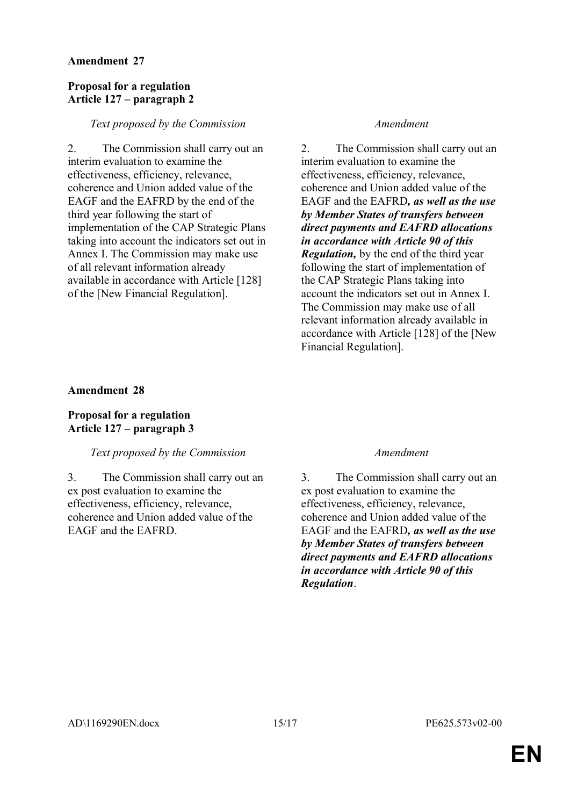### **Amendment 27**

### **Proposal for a regulation Article 127 – paragraph 2**

### *Text proposed by the Commission Amendment*

2. The Commission shall carry out an interim evaluation to examine the effectiveness, efficiency, relevance, coherence and Union added value of the EAGF and the EAFRD by the end of the third year following the start of implementation of the CAP Strategic Plans taking into account the indicators set out in Annex I. The Commission may make use of all relevant information already available in accordance with Article [128] of the [New Financial Regulation].

2. The Commission shall carry out an interim evaluation to examine the effectiveness, efficiency, relevance, coherence and Union added value of the EAGF and the EAFRD*, as well as the use by Member States of transfers between direct payments and EAFRD allocations in accordance with Article 90 of this Regulation,* by the end of the third year following the start of implementation of the CAP Strategic Plans taking into account the indicators set out in Annex I. The Commission may make use of all relevant information already available in accordance with Article [128] of the [New Financial Regulation].

### **Amendment 28**

### **Proposal for a regulation Article 127 – paragraph 3**

### *Text proposed by the Commission Amendment*

3. The Commission shall carry out an ex post evaluation to examine the effectiveness, efficiency, relevance, coherence and Union added value of the EAGF and the EAFRD.

3. The Commission shall carry out an ex post evaluation to examine the effectiveness, efficiency, relevance, coherence and Union added value of the EAGF and the EAFRD*, as well as the use by Member States of transfers between direct payments and EAFRD allocations in accordance with Article 90 of this Regulation*.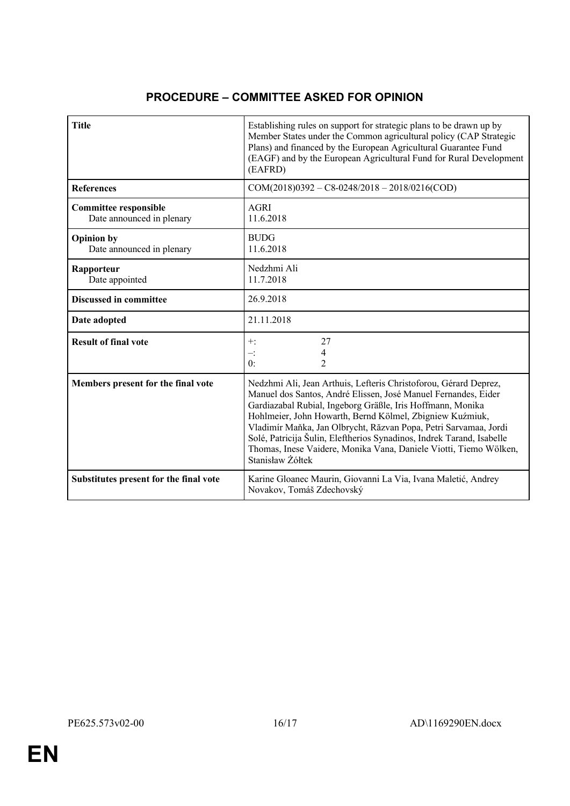# **PROCEDURE – COMMITTEE ASKED FOR OPINION**

| <b>Title</b>                                              | Establishing rules on support for strategic plans to be drawn up by<br>Member States under the Common agricultural policy (CAP Strategic<br>Plans) and financed by the European Agricultural Guarantee Fund<br>(EAGF) and by the European Agricultural Fund for Rural Development<br>(EAFRD)                                                                                                                                                                                                       |
|-----------------------------------------------------------|----------------------------------------------------------------------------------------------------------------------------------------------------------------------------------------------------------------------------------------------------------------------------------------------------------------------------------------------------------------------------------------------------------------------------------------------------------------------------------------------------|
| <b>References</b>                                         | $COM(2018)0392 - C8 - 0248/2018 - 2018/0216(COD)$                                                                                                                                                                                                                                                                                                                                                                                                                                                  |
| <b>Committee responsible</b><br>Date announced in plenary | <b>AGRI</b><br>11.6.2018                                                                                                                                                                                                                                                                                                                                                                                                                                                                           |
| <b>Opinion</b> by<br>Date announced in plenary            | <b>BUDG</b><br>11.6.2018                                                                                                                                                                                                                                                                                                                                                                                                                                                                           |
| Rapporteur<br>Date appointed                              | Nedzhmi Ali<br>11.7.2018                                                                                                                                                                                                                                                                                                                                                                                                                                                                           |
| <b>Discussed in committee</b>                             | 26.9.2018                                                                                                                                                                                                                                                                                                                                                                                                                                                                                          |
| Date adopted                                              | 21.11.2018                                                                                                                                                                                                                                                                                                                                                                                                                                                                                         |
| <b>Result of final vote</b>                               | 27<br>$+$ :<br>4<br>$-$ :<br>0:<br>$\mathfrak{D}$                                                                                                                                                                                                                                                                                                                                                                                                                                                  |
| Members present for the final vote                        | Nedzhmi Ali, Jean Arthuis, Lefteris Christoforou, Gérard Deprez,<br>Manuel dos Santos, André Elissen, José Manuel Fernandes, Eider<br>Gardiazabal Rubial, Ingeborg Gräßle, Iris Hoffmann, Monika<br>Hohlmeier, John Howarth, Bernd Kölmel, Zbigniew Kuźmiuk,<br>Vladimír Maňka, Jan Olbrycht, Răzvan Popa, Petri Sarvamaa, Jordi<br>Solé, Patricija Šulin, Eleftherios Synadinos, Indrek Tarand, Isabelle<br>Thomas, Inese Vaidere, Monika Vana, Daniele Viotti, Tiemo Wölken,<br>Stanisław Żółtek |
| Substitutes present for the final vote                    | Karine Gloanec Maurin, Giovanni La Via, Ivana Maletić, Andrey<br>Novakov, Tomáš Zdechovský                                                                                                                                                                                                                                                                                                                                                                                                         |